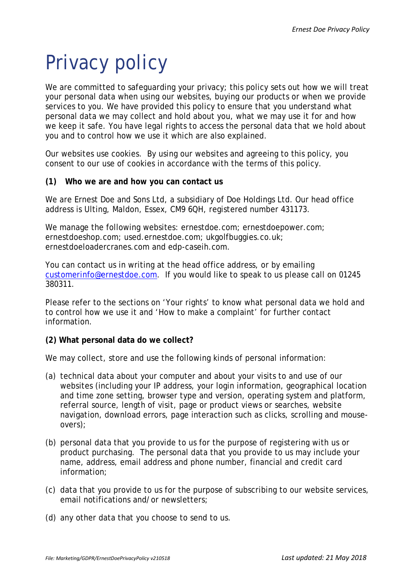# Privacy policy

We are committed to safeguarding your privacy; this policy sets out how we will treat your personal data when using our websites, buying our products or when we provide services to you. We have provided this policy to ensure that you understand what personal data we may collect and hold about you, what we may use it for and how we keep it safe. You have legal rights to access the personal data that we hold about you and to control how we use it which are also explained.

Our websites use cookies. By using our websites and agreeing to this policy, you consent to our use of cookies in accordance with the terms of this policy.

# **(1) Who we are and how you can contact us**

We are Ernest Doe and Sons Ltd, a subsidiary of Doe Holdings Ltd. Our head office address is Ulting, Maldon, Essex, CM9 6QH, registered number 431173.

We manage the following websites: ernestdoe.com; ernestdoepower.com; ernestdoeshop.com; used.ernestdoe.com; ukgolfbuggies.co.uk; ernestdoeloadercranes.com and edp-caseih.com.

You can contact us in writing at the head office address, or by emailing [customerinfo@ernestdoe.com.](mailto:customerinfo@ernestdoe.com) If you would like to speak to us please call on 01245 380311.

Please refer to the sections on 'Your rights' to know what personal data we hold and to control how we use it and 'How to make a complaint' for further contact information.

## **(2) What personal data do we collect?**

We may collect, store and use the following kinds of personal information:

- (a) technical data about your computer and about your visits to and use of our websites (including your IP address, your login information, geographical location and time zone setting, browser type and version, operating system and platform, referral source, length of visit, page or product views or searches, website navigation, download errors, page interaction such as clicks, scrolling and mouseovers);
- (b) personal data that you provide to us for the purpose of registering with us or product purchasing. The personal data that you provide to us may include your name, address, email address and phone number, financial and credit card information;
- (c) data that you provide to us for the purpose of subscribing to our website services, email notifications and/or newsletters;
- (d) any other data that you choose to send to us.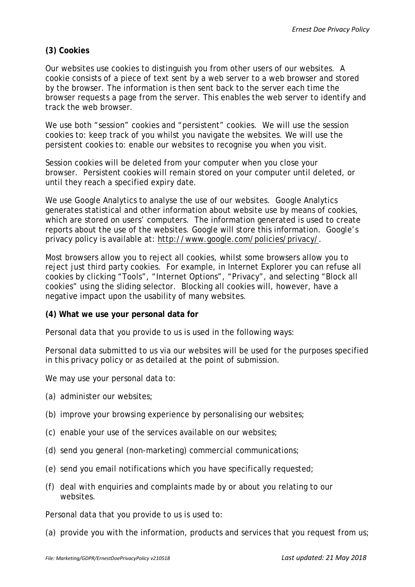# **(3) Cookies**

Our websites use cookies to distinguish you from other users of our websites. A cookie consists of a piece of text sent by a web server to a web browser and stored by the browser. The information is then sent back to the server each time the browser requests a page from the server. This enables the web server to identify and track the web browser.

We use both "session" cookies and "persistent" cookies. We will use the session cookies to: keep track of you whilst you navigate the websites. We will use the persistent cookies to: enable our websites to recognise you when you visit.

Session cookies will be deleted from your computer when you close your browser. Persistent cookies will remain stored on your computer until deleted, or until they reach a specified expiry date.

We use Google Analytics to analyse the use of our websites. Google Analytics generates statistical and other information about website use by means of cookies, which are stored on users' computers. The information generated is used to create reports about the use of the websites. Google will store this information. Google's privacy policy is available at: [http://www.google.com/policies/privacy/.](http://www.google.com/policies/privacy/)

Most browsers allow you to reject all cookies, whilst some browsers allow you to reject just third party cookies. For example, in Internet Explorer you can refuse all cookies by clicking "Tools", "Internet Options", "Privacy", and selecting "Block all cookies" using the sliding selector. Blocking all cookies will, however, have a negative impact upon the usability of many websites.

## **(4) What we use your personal data for**

Personal data that you provide to us is used in the following ways:

Personal data submitted to us via our websites will be used for the purposes specified in this privacy policy or as detailed at the point of submission.

We may use your personal data to:

- (a) administer our websites;
- (b) improve your browsing experience by personalising our websites;
- (c) enable your use of the services available on our websites;
- (d) send you general (non-marketing) commercial communications;
- (e) send you email notifications which you have specifically requested;
- (f) deal with enquiries and complaints made by or about you relating to our websites.

Personal data that you provide to us is used to:

(a) provide you with the information, products and services that you request from us;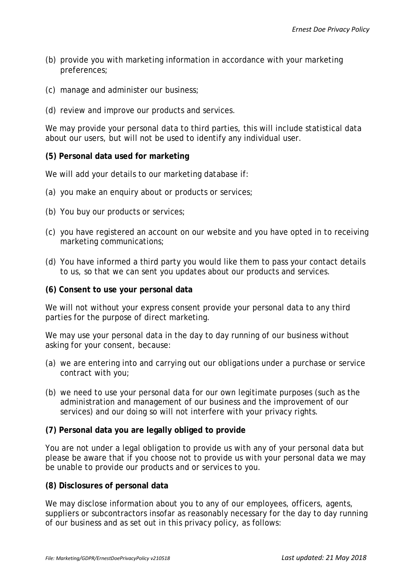- (b) provide you with marketing information in accordance with your marketing preferences;
- (c) manage and administer our business;
- (d) review and improve our products and services.

We may provide your personal data to third parties, this will include statistical data about our users, but will not be used to identify any individual user.

## **(5) Personal data used for marketing**

We will add your details to our marketing database if:

- (a) you make an enquiry about or products or services;
- (b) You buy our products or services;
- (c) you have registered an account on our website and you have opted in to receiving marketing communications;
- (d) You have informed a third party you would like them to pass your contact details to us, so that we can sent you updates about our products and services.

#### **(6) Consent to use your personal data**

We will not without your express consent provide your personal data to any third parties for the purpose of direct marketing.

We may use your personal data in the day to day running of our business without asking for your consent, because:

- (a) we are entering into and carrying out our obligations under a purchase or service contract with you;
- (b) we need to use your personal data for our own legitimate purposes (such as the administration and management of our business and the improvement of our services) and our doing so will not interfere with your privacy rights.

## **(7) Personal data you are legally obliged to provide**

You are not under a legal obligation to provide us with any of your personal data but please be aware that if you choose not to provide us with your personal data we may be unable to provide our products and or services to you.

#### **(8) Disclosures of personal data**

We may disclose information about you to any of our employees, officers, agents, suppliers or subcontractors insofar as reasonably necessary for the day to day running of our business and as set out in this privacy policy, as follows: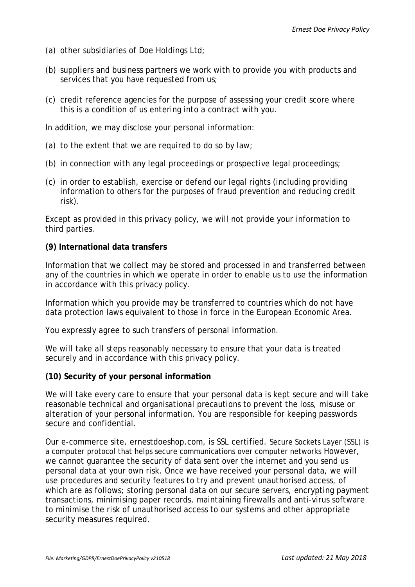- (a) other subsidiaries of Doe Holdings Ltd;
- (b) suppliers and business partners we work with to provide you with products and services that you have requested from us;
- (c) credit reference agencies for the purpose of assessing your credit score where this is a condition of us entering into a contract with you.

In addition, we may disclose your personal information:

- (a) to the extent that we are required to do so by law;
- (b) in connection with any legal proceedings or prospective legal proceedings;
- (c) in order to establish, exercise or defend our legal rights (including providing information to others for the purposes of fraud prevention and reducing credit risk).

Except as provided in this privacy policy, we will not provide your information to third parties.

# **(9) International data transfers**

Information that we collect may be stored and processed in and transferred between any of the countries in which we operate in order to enable us to use the information in accordance with this privacy policy.

Information which you provide may be transferred to countries which do not have data protection laws equivalent to those in force in the European Economic Area.

You expressly agree to such transfers of personal information.

We will take all steps reasonably necessary to ensure that your data is treated securely and in accordance with this privacy policy.

# **(10) Security of your personal information**

We will take every care to ensure that your personal data is kept secure and will take reasonable technical and organisational precautions to prevent the loss, misuse or alteration of your personal information. You are responsible for keeping passwords secure and confidential.

Our e-commerce site, ernestdoeshop.com, is SSL certified. Secure Sockets Layer (SSL) is a computer protocol that helps secure communications over computer networks However, we cannot guarantee the security of data sent over the internet and you send us personal data at your own risk. Once we have received your personal data, we will use procedures and security features to try and prevent unauthorised access, of which are as follows; storing personal data on our secure servers, encrypting payment transactions, minimising paper records, maintaining firewalls and anti-virus software to minimise the risk of unauthorised access to our systems and other appropriate security measures required.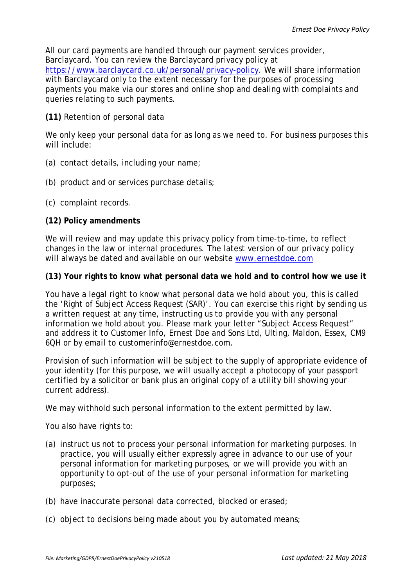All our card payments are handled through our payment services provider, Barclaycard. You can review the Barclaycard privacy policy at [https://www.barclaycard.co.uk/personal/privacy-policy.](https://www.barclaycard.co.uk/personal/privacy-policy) We will share information with Barclaycard only to the extent necessary for the purposes of processing payments you make via our stores and online shop and dealing with complaints and queries relating to such payments.

## **(11)** Retention of personal data

We only keep your personal data for as long as we need to. For business purposes this will include:

- (a) contact details, including your name;
- (b) product and or services purchase details;
- (c) complaint records.

## **(12) Policy amendments**

We will review and may update this privacy policy from time-to-time, to reflect changes in the law or internal procedures. The latest version of our privacy policy will always be dated and available on our website [www.ernestdoe.com](http://www.ernestdoe.com/)

## **(13) Your rights to know what personal data we hold and to control how we use it**

You have a legal right to know what personal data we hold about you, this is called the 'Right of Subject Access Request (SAR)'. You can exercise this right by sending us a written request at any time, instructing us to provide you with any personal information we hold about you. Please mark your letter "Subject Access Request" and address it to Customer Info, Ernest Doe and Sons Ltd, Ulting, Maldon, Essex, CM9 6QH or by email to customerinfo@ernestdoe.com.

Provision of such information will be subject to the supply of appropriate evidence of your identity (for this purpose, we will usually accept a photocopy of your passport certified by a solicitor or bank plus an original copy of a utility bill showing your current address).

We may withhold such personal information to the extent permitted by law.

You also have rights to:

- (a) instruct us not to process your personal information for marketing purposes. In practice, you will usually either expressly agree in advance to our use of your personal information for marketing purposes, or we will provide you with an opportunity to opt-out of the use of your personal information for marketing purposes;
- (b) have inaccurate personal data corrected, blocked or erased;
- (c) object to decisions being made about you by automated means;